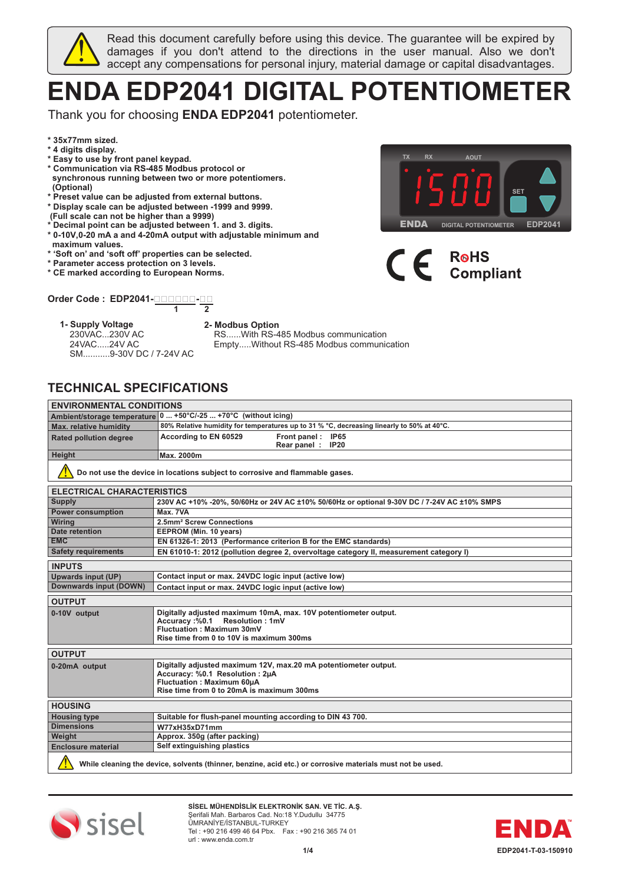

Read this document carefully before using this device. The guarantee will be expired by damages if you don't attend to the directions in the user manual. Also we don't accept any compensations for personal injury, material damage or capital disadvantages.

# **ENDA EDP2041 DIGITAL POTENTIOMETER**

Thank you for choosing **ENDA EDP2041** potentiometer.

- **\* 35x77mm sized.**
- **\* 4 digits display.**
- **\* Easy to use by front panel keypad.**
- **\* Communication via RS-485 Modbus protocol or synchronous running between two or more potentiomers. (Optional)**
- **\* Preset value can be adjusted from external buttons.**
- **\* Display scale can be adjusted between -1999 and 9999.**
- **(Full scale can not be higher than a 9999)**
- **\* Decimal point can be adjusted between 1. and 3. digits.**
- **\* 0-10V,0-20 mA a and 4-20mA output with adjustable minimum and maximum values.**
- **\* 'Soft on' and 'soft off' properties can be selected.**
- **\* Parameter access protection on 3 levels.**
- **\* CE marked according to European Norms.**

#### **Order Code : EDP2041- - 1 2**

#### **1- Supply Voltage 2- Modbus Option** 230VAC...230V AC

24VAC.....24V AC



 RS......With RS-485 Modbus communication Empty.....Without RS-485 Modbus communication

# **TECHNICAL SPECIFICATIONS**

SM...........9-30V DC / 7-24V AC

| <b>ENVIRONMENTAL CONDITIONS</b>                                                                            |                                                                                             |  |  |  |  |
|------------------------------------------------------------------------------------------------------------|---------------------------------------------------------------------------------------------|--|--|--|--|
| Ambient/storage temperature 0  +50°C/-25  +70°C (without icing)                                            |                                                                                             |  |  |  |  |
| Max. relative humidity                                                                                     | 80% Relative humidity for temperatures up to 31 % °C, decreasing linearly to 50% at 40°C.   |  |  |  |  |
| <b>Rated pollution degree</b>                                                                              | According to EN 60529<br>Front panel: IP65                                                  |  |  |  |  |
|                                                                                                            | Rear panel: IP20                                                                            |  |  |  |  |
| <b>Height</b>                                                                                              | Max. 2000m                                                                                  |  |  |  |  |
|                                                                                                            | Do not use the device in locations subject to corrosive and flammable gases.                |  |  |  |  |
| <b>ELECTRICAL CHARACTERISTICS</b>                                                                          |                                                                                             |  |  |  |  |
| <b>Supply</b>                                                                                              | 230V AC +10% -20%, 50/60Hz or 24V AC ±10% 50/60Hz or optional 9-30V DC / 7-24V AC ±10% SMPS |  |  |  |  |
| <b>Power consumption</b>                                                                                   | Max. 7VA                                                                                    |  |  |  |  |
| <b>Wiring</b>                                                                                              | 2.5mm <sup>2</sup> Screw Connections                                                        |  |  |  |  |
| Date retention                                                                                             | EEPROM (Min. 10 years)                                                                      |  |  |  |  |
| <b>EMC</b>                                                                                                 | EN 61326-1: 2013 (Performance criterion B for the EMC standards)                            |  |  |  |  |
| <b>Safety requirements</b>                                                                                 | EN 61010-1: 2012 (pollution degree 2, overvoltage category II, measurement category I)      |  |  |  |  |
| <b>INPUTS</b>                                                                                              |                                                                                             |  |  |  |  |
| <b>Upwards input (UP)</b>                                                                                  | Contact input or max. 24VDC logic input (active low)                                        |  |  |  |  |
| Downwards input (DOWN)                                                                                     | Contact input or max. 24VDC logic input (active low)                                        |  |  |  |  |
| <b>OUTPUT</b>                                                                                              |                                                                                             |  |  |  |  |
| 0-10V output                                                                                               | Digitally adjusted maximum 10mA, max. 10V potentiometer output.                             |  |  |  |  |
|                                                                                                            | Accuracy:%0.1 Resolution: 1mV                                                               |  |  |  |  |
|                                                                                                            | Fluctuation: Maximum 30mV<br>Rise time from 0 to 10V is maximum 300ms                       |  |  |  |  |
|                                                                                                            |                                                                                             |  |  |  |  |
| <b>OUTPUT</b>                                                                                              |                                                                                             |  |  |  |  |
| 0-20mA output                                                                                              | Digitally adjusted maximum 12V, max.20 mA potentiometer output.                             |  |  |  |  |
|                                                                                                            | Accuracy: %0.1 Resolution: 2µA                                                              |  |  |  |  |
|                                                                                                            | <b>Fluctuation: Maximum 60uA</b><br>Rise time from 0 to 20mA is maximum 300ms               |  |  |  |  |
|                                                                                                            |                                                                                             |  |  |  |  |
| <b>HOUSING</b>                                                                                             |                                                                                             |  |  |  |  |
| <b>Housing type</b>                                                                                        | Suitable for flush-panel mounting according to DIN 43 700.                                  |  |  |  |  |
| <b>Dimensions</b>                                                                                          | W77xH35xD71mm                                                                               |  |  |  |  |
| Weight                                                                                                     | Approx. 350g (after packing)                                                                |  |  |  |  |
| Self extinguishing plastics<br><b>Enclosure material</b>                                                   |                                                                                             |  |  |  |  |
| While cleaning the device, solvents (thinner, benzine, acid etc.) or corrosive materials must not be used. |                                                                                             |  |  |  |  |



**SİSEL MÜHENDİSLİK ELEKTRONİK SAN. VE TİC. A.Ş.** Şerifali Mah. Barbaros Cad. No:18 Y.Dudullu 34775 ÜMRANİYE/İSTANBUL-TURKEY Tel : +90 216 499 46 64 Pbx. Fax : +90 216 365 74 01 url : www.enda.com.tr





# **R**<sup>o</sup>HS **Compliant**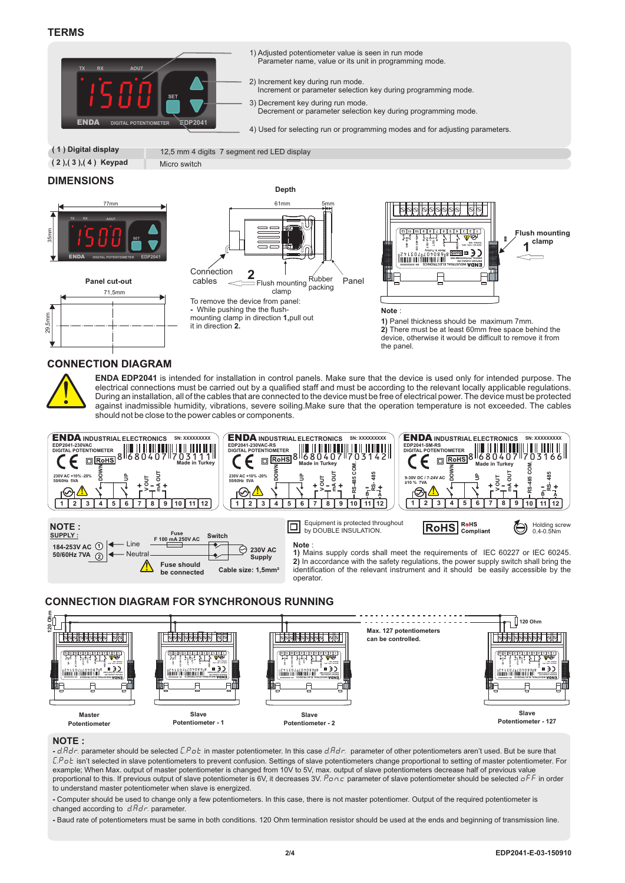### **TERMS**



- 1) Adjusted potentiometer value is seen in run mode Parameter name, value or its unit in programming mode.
- 2) Increment key during run mode.
- Increment or parameter selection key during programming mode.
- 3) Decrement key during run mode. Decrement or parameter selection key during programming mode.
- 4) Used for selecting run or programming modes and for adjusting parameters.

 **( 1 ) Digital display**

12,5 mm 4 digits 7 segment red LED display

 **( 2 ),( 3 ),( 4 ) Keypad** Micro switch

### **DIMENSIONS**



**Panel cut-out**

**CONNECTION DIAGRAM** 

71,5mm





**2)** There must be at least 60mm free space behind the device, otherwise it would be difficult to remove it from the panel.



a <sub>Smm</sub>

**ENDA EDP2041** is intended for installation in control panels. Make sure that the device is used only for intended purpose. The electrical connections must be carried out by a qualified staff and must be according to the relevant locally applicable regulations. During an installation, all of the cables that are connected to the device must be free of electrical power. The device must be protected against inadmissible humidity, vibrations, severe soiling.Make sure that the operation temperature is not exceeded. The cables should not be close to the power cables or components.







#### **NOTE :**

**-** d.Adr. parameter should be selected C.Pot in master potentiometer. In this case d.Adr. parameter of other potentiometers aren't used. But be sure that C.Pot isn't selected in slave potentiometers to prevent confusion. Settings of slave potentiometers change proportional to setting of master potentiometer. For example; When Max. output of master potentiometer is changed from 10V to 5V, max. output of slave potentiometers decrease half of previous value proportional to this. If previous output of slave potentiometer is 6V, it decreases 3V. Ponc parameter of slave potentiometer should be selected oFF in order to understand master potentiometer when slave is energized.

**-** Computer should be used to change only a few potentiometers. In this case, there is not master potentiomer. Output of the required potentiometer is changed according to  $d. Hd\tau$ . parameter.

**-** Baud rate of potentiometers must be same in both conditions. 120 Ohm termination resistor should be used at the ends and beginning of transmission line.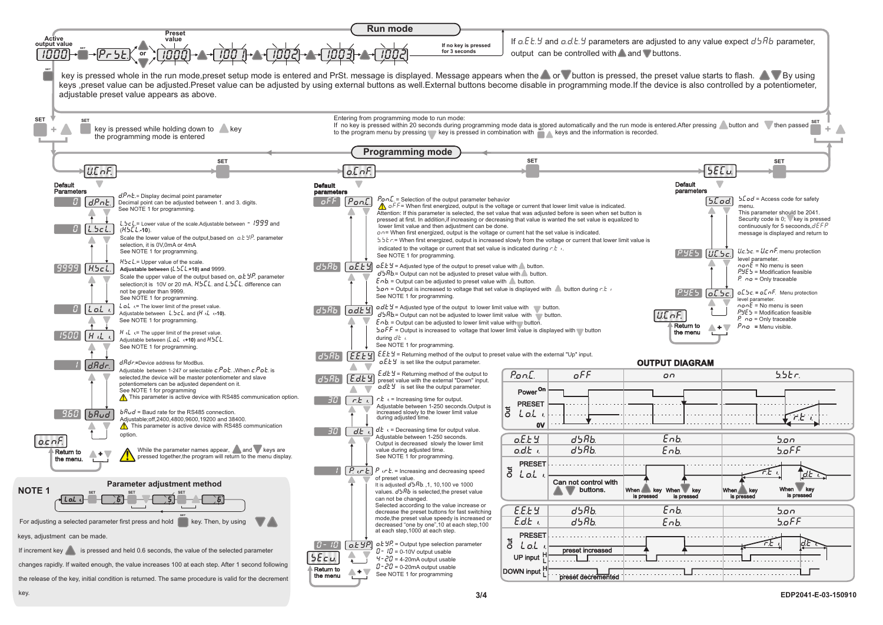